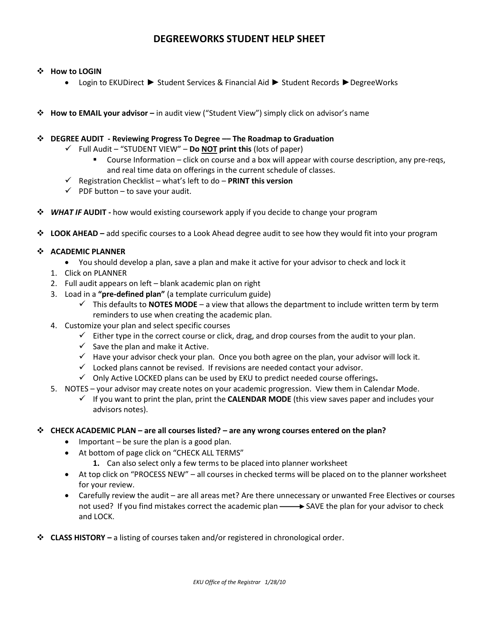# **DEGREEWORKS STUDENT HELP SHEET**

#### **How to LOGIN**

- Login to EKUDirect ► Student Services & Financial Aid ► Student Records ►DegreeWorks
- **How to EMAIL your advisor –** in audit view ("Student View") simply click on advisor's name

#### **DEGREE AUDIT - Reviewing Progress To Degree –– The Roadmap to Graduation**

- Full Audit "STUDENT VIEW" **Do NOT print this** (lots of paper)
	- Course Information click on course and a box will appear with course description, any pre-reqs, and real time data on offerings in the current schedule of classes.
- Registration Checklist what's left to do **PRINT this version**
- $\checkmark$  PDF button to save your audit.
- *WHAT IF* **AUDIT -** how would existing coursework apply if you decide to change your program
- **LOOK AHEAD –** add specific courses to a Look Ahead degree audit to see how they would fit into your program

## **ACADEMIC PLANNER**

- You should develop a plan, save a plan and make it active for your advisor to check and lock it
- 1. Click on PLANNER
- 2. Full audit appears on left blank academic plan on right
- 3. Load in a **"pre-defined plan"** (a template curriculum guide)
	- $\checkmark$  This defaults to **NOTES MODE** a view that allows the department to include written term by term reminders to use when creating the academic plan.
- 4. Customize your plan and select specific courses
	- $\checkmark$  Either type in the correct course or click, drag, and drop courses from the audit to your plan.
	- $\checkmark$  Save the plan and make it Active.
	- $\checkmark$  Have your advisor check your plan. Once you both agree on the plan, your advisor will lock it.
	- $\checkmark$  Locked plans cannot be revised. If revisions are needed contact your advisor.
	- Only Active LOCKED plans can be used by EKU to predict needed course offerings**.**
- 5. NOTES your advisor may create notes on your academic progression. View them in Calendar Mode.
	- $\checkmark$  If you want to print the plan, print the **CALENDAR MODE** (this view saves paper and includes your advisors notes).

#### **CHECK ACADEMIC PLAN – are all courses listed? – are any wrong courses entered on the plan?**

- $\bullet$  Important be sure the plan is a good plan.
- At bottom of page click on "CHECK ALL TERMS"
	- **1.** Can also select only a few terms to be placed into planner worksheet
- At top click on "PROCESS NEW" all courses in checked terms will be placed on to the planner worksheet for your review.
- Carefully review the audit are all areas met? Are there unnecessary or unwanted Free Electives or courses not used? If you find mistakes correct the academic plan  $\longrightarrow$  SAVE the plan for your advisor to check and LOCK.
- **CLASS HISTORY –** a listing of courses taken and/or registered in chronological order.